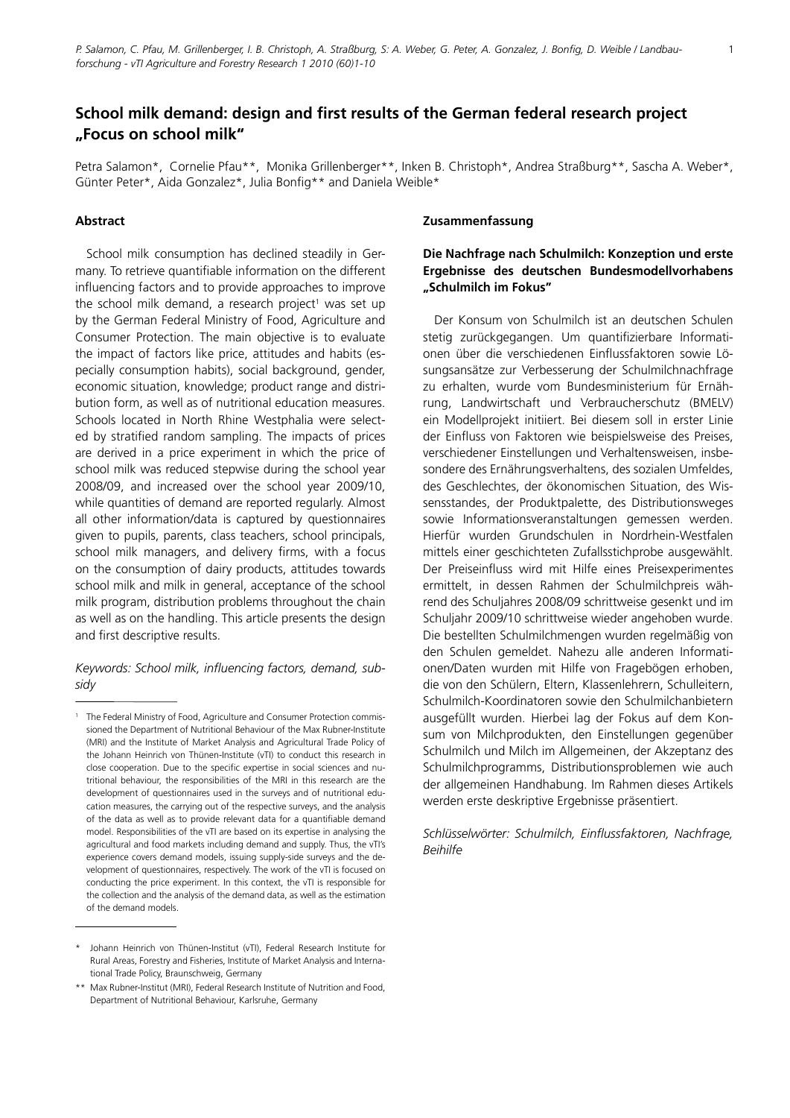# **School milk demand: design and first results of the German federal research project "Focus on school milk"**

Petra Salamon\*, Cornelie Pfau\*\*, Monika Grillenberger\*\*, Inken B. Christoph\*, Andrea Straßburg\*\*, Sascha A. Weber\*, Günter Peter\*, Aida Gonzalez\*, Julia Bonfig\*\* and Daniela Weible\*

# **Abstract**

School milk consumption has declined steadily in Germany. To retrieve quantifiable information on the different influencing factors and to provide approaches to improve the school milk demand, a research project<sup>1</sup> was set up by the German Federal Ministry of Food, Agriculture and Consumer Protection. The main objective is to evaluate the impact of factors like price, attitudes and habits (especially consumption habits), social background, gender, economic situation, knowledge; product range and distribution form, as well as of nutritional education measures. Schools located in North Rhine Westphalia were selected by stratified random sampling. The impacts of prices are derived in a price experiment in which the price of school milk was reduced stepwise during the school year 2008/09, and increased over the school year 2009/10, while quantities of demand are reported regularly. Almost all other information/data is captured by questionnaires given to pupils, parents, class teachers, school principals, school milk managers, and delivery firms, with a focus on the consumption of dairy products, attitudes towards school milk and milk in general, acceptance of the school milk program, distribution problems throughout the chain as well as on the handling. This article presents the design and first descriptive results.

# *Keywords: School milk, influencing factors, demand, subsidy*

### **Zusammenfassung**

# **Die Nachfrage nach Schulmilch: Konzeption und erste Ergebnisse des deutschen Bundesmodellvorhabens "Schulmilch im Fokus"**

Der Konsum von Schulmilch ist an deutschen Schulen stetig zurückgegangen. Um quantifizierbare Informationen über die verschiedenen Einflussfaktoren sowie Lösungsansätze zur Verbesserung der Schulmilchnachfrage zu erhalten, wurde vom Bundesministerium für Ernährung, Landwirtschaft und Verbraucherschutz (BMELV) ein Modellprojekt initiiert. Bei diesem soll in erster Linie der Einfluss von Faktoren wie beispielsweise des Preises, verschiedener Einstellungen und Verhaltensweisen, insbesondere des Ernährungsverhaltens, des sozialen Umfeldes, des Geschlechtes, der ökonomischen Situation, des Wissensstandes, der Produktpalette, des Distributionsweges sowie Informationsveranstaltungen gemessen werden. Hierfür wurden Grundschulen in Nordrhein-Westfalen mittels einer geschichteten Zufallsstichprobe ausgewählt. Der Preiseinfluss wird mit Hilfe eines Preisexperimentes ermittelt, in dessen Rahmen der Schulmilchpreis während des Schuljahres 2008/09 schrittweise gesenkt und im Schuljahr 2009/10 schrittweise wieder angehoben wurde. Die bestellten Schulmilchmengen wurden regelmäßig von den Schulen gemeldet. Nahezu alle anderen Informationen/Daten wurden mit Hilfe von Fragebögen erhoben, die von den Schülern, Eltern, Klassenlehrern, Schulleitern, Schulmilch-Koordinatoren sowie den Schulmilchanbietern ausgefüllt wurden. Hierbei lag der Fokus auf dem Konsum von Milchprodukten, den Einstellungen gegenüber Schulmilch und Milch im Allgemeinen, der Akzeptanz des Schulmilchprogramms, Distributionsproblemen wie auch der allgemeinen Handhabung. Im Rahmen dieses Artikels werden erste deskriptive Ergebnisse präsentiert.

*Schlüsselwörter: Schulmilch, Einflussfaktoren, Nachfrage, Beihilfe*

<sup>1</sup> The Federal Ministry of Food, Agriculture and Consumer Protection commissioned the Department of Nutritional Behaviour of the Max Rubner-Institute (MRI) and the Institute of Market Analysis and Agricultural Trade Policy of the Johann Heinrich von Thünen-Institute (vTI) to conduct this research in close cooperation. Due to the specific expertise in social sciences and nutritional behaviour, the responsibilities of the MRI in this research are the development of questionnaires used in the surveys and of nutritional education measures, the carrying out of the respective surveys, and the analysis of the data as well as to provide relevant data for a quantifiable demand model. Responsibilities of the vTI are based on its expertise in analysing the agricultural and food markets including demand and supply. Thus, the vTI's experience covers demand models, issuing supply-side surveys and the development of questionnaires, respectively. The work of the vTI is focused on conducting the price experiment. In this context, the vTI is responsible for the collection and the analysis of the demand data, as well as the estimation of the demand models.

Johann Heinrich von Thünen-Institut (vTI), Federal Research Institute for Rural Areas, Forestry and Fisheries, Institute of Market Analysis and International Trade Policy, Braunschweig, Germany

<sup>\*\*</sup> Max Rubner-Institut (MRI), Federal Research Institute of Nutrition and Food, Department of Nutritional Behaviour, Karlsruhe, Germany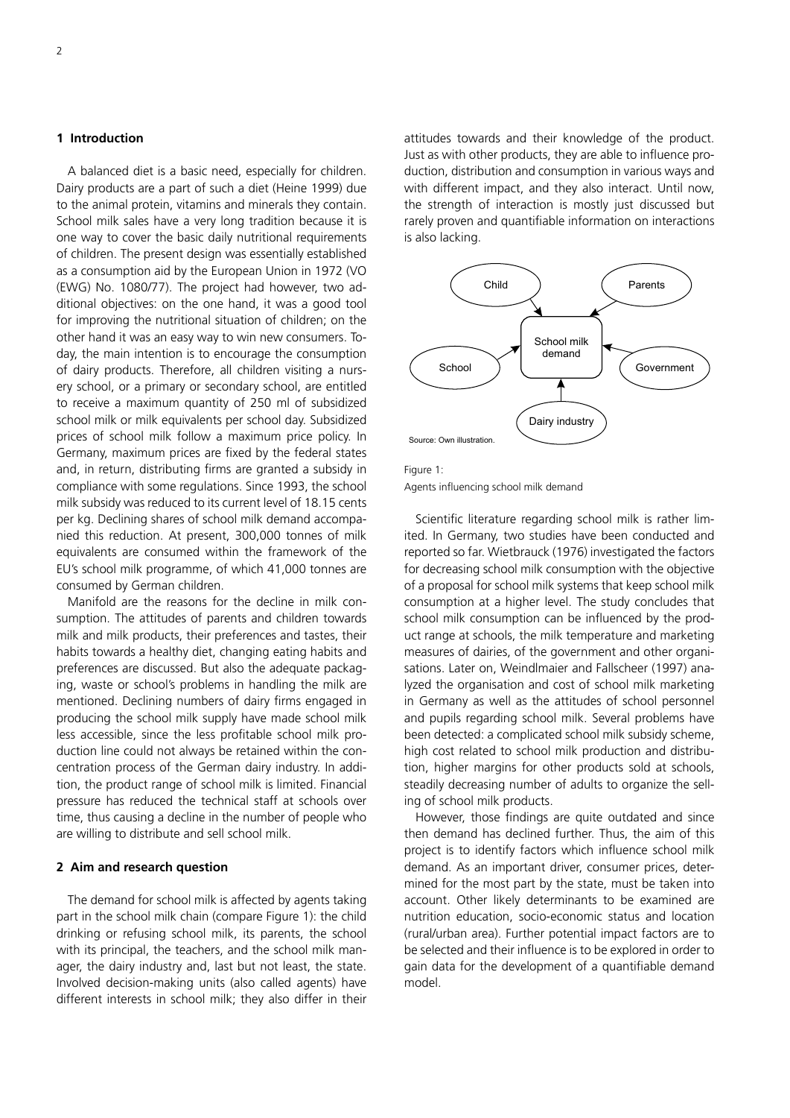# **1 Introduction**

A balanced diet is a basic need, especially for children. Dairy products are a part of such a diet (Heine 1999) due to the animal protein, vitamins and minerals they contain. School milk sales have a very long tradition because it is one way to cover the basic daily nutritional requirements of children. The present design was essentially established as a consumption aid by the European Union in 1972 (VO (EWG) No. 1080/77). The project had however, two additional objectives: on the one hand, it was a good tool for improving the nutritional situation of children; on the other hand it was an easy way to win new consumers. Today, the main intention is to encourage the consumption of dairy products. Therefore, all children visiting a nursery school, or a primary or secondary school, are entitled to receive a maximum quantity of 250 ml of subsidized school milk or milk equivalents per school day. Subsidized prices of school milk follow a maximum price policy. In Germany, maximum prices are fixed by the federal states and, in return, distributing firms are granted a subsidy in compliance with some regulations. Since 1993, the school milk subsidy was reduced to its current level of 18.15 cents per kg. Declining shares of school milk demand accompanied this reduction. At present, 300,000 tonnes of milk equivalents are consumed within the framework of the EU's school milk programme, of which 41,000 tonnes are consumed by German children.

Manifold are the reasons for the decline in milk consumption. The attitudes of parents and children towards milk and milk products, their preferences and tastes, their habits towards a healthy diet, changing eating habits and preferences are discussed. But also the adequate packaging, waste or school's problems in handling the milk are mentioned. Declining numbers of dairy firms engaged in producing the school milk supply have made school milk less accessible, since the less profitable school milk production line could not always be retained within the concentration process of the German dairy industry. In addition, the product range of school milk is limited. Financial pressure has reduced the technical staff at schools over time, thus causing a decline in the number of people who are willing to distribute and sell school milk.

### **2 Aim and research question**

The demand for school milk is affected by agents taking part in the school milk chain (compare Figure 1): the child drinking or refusing school milk, its parents, the school with its principal, the teachers, and the school milk manager, the dairy industry and, last but not least, the state. Involved decision-making units (also called agents) have different interests in school milk; they also differ in their attitudes towards and their knowledge of the product. Just as with other products, they are able to influence production, distribution and consumption in various ways and with different impact, and they also interact. Until now, the strength of interaction is mostly just discussed but rarely proven and quantifiable information on interactions is also lacking.



Figure 1: Agents influencing school milk demand

Scientific literature regarding school milk is rather limited. In Germany, two studies have been conducted and reported so far. Wietbrauck (1976) investigated the factors for decreasing school milk consumption with the objective of a proposal for school milk systems that keep school milk consumption at a higher level. The study concludes that school milk consumption can be influenced by the product range at schools, the milk temperature and marketing measures of dairies, of the government and other organisations. Later on, Weindlmaier and Fallscheer (1997) analyzed the organisation and cost of school milk marketing in Germany as well as the attitudes of school personnel and pupils regarding school milk. Several problems have been detected: a complicated school milk subsidy scheme, high cost related to school milk production and distribution, higher margins for other products sold at schools, steadily decreasing number of adults to organize the selling of school milk products.

However, those findings are quite outdated and since then demand has declined further. Thus, the aim of this project is to identify factors which influence school milk demand. As an important driver, consumer prices, determined for the most part by the state, must be taken into account. Other likely determinants to be examined are nutrition education, socio-economic status and location (rural/urban area). Further potential impact factors are to be selected and their influence is to be explored in order to gain data for the development of a quantifiable demand model.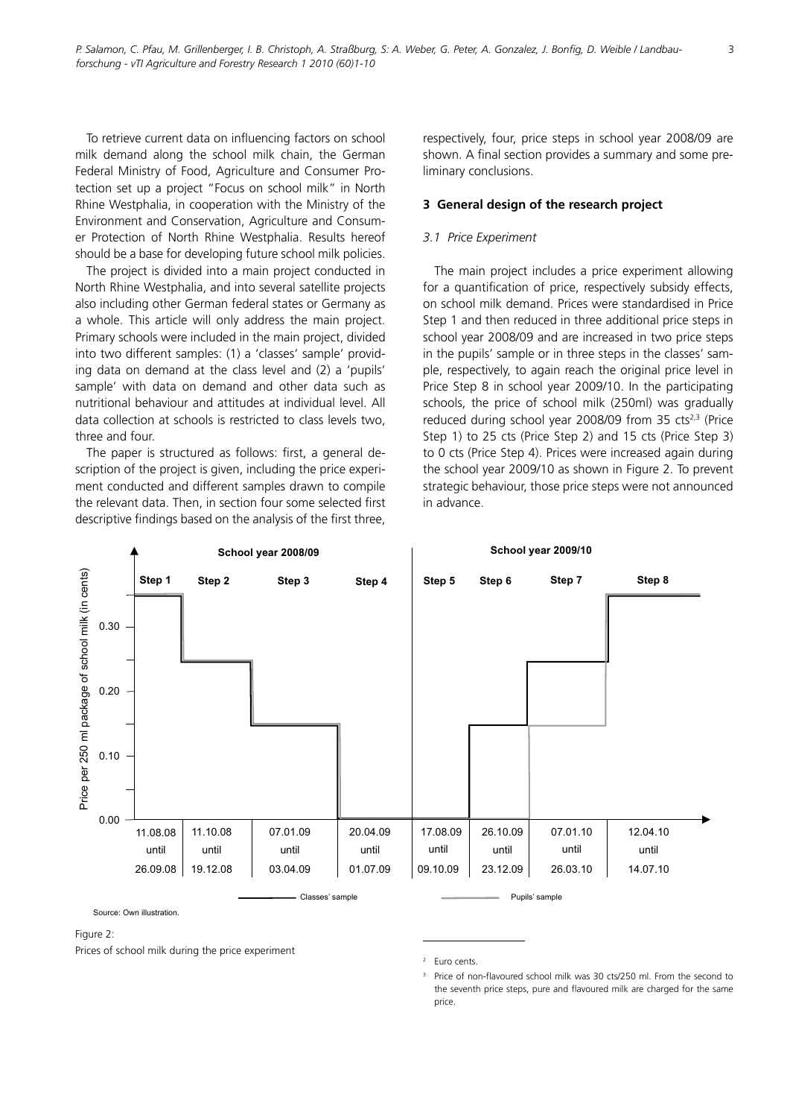To retrieve current data on influencing factors on school milk demand along the school milk chain, the German Federal Ministry of Food, Agriculture and Consumer Protection set up a project "Focus on school milk" in North Rhine Westphalia, in cooperation with the Ministry of the Environment and Conservation, Agriculture and Consumer Protection of North Rhine Westphalia. Results hereof should be a base for developing future school milk policies.

The project is divided into a main project conducted in North Rhine Westphalia, and into several satellite projects also including other German federal states or Germany as a whole. This article will only address the main project. Primary schools were included in the main project, divided into two different samples: (1) a 'classes' sample' providing data on demand at the class level and (2) a 'pupils' sample' with data on demand and other data such as nutritional behaviour and attitudes at individual level. All data collection at schools is restricted to class levels two, three and four.

The paper is structured as follows: first, a general description of the project is given, including the price experiment conducted and different samples drawn to compile the relevant data. Then, in section four some selected first descriptive findings based on the analysis of the first three, respectively, four, price steps in school year 2008/09 are shown. A final section provides a summary and some preliminary conclusions.

### **3 General design of the research project**

### *3.1 Price Experiment*

The main project includes a price experiment allowing for a quantification of price, respectively subsidy effects, on school milk demand. Prices were standardised in Price Step 1 and then reduced in three additional price steps in school year 2008/09 and are increased in two price steps in the pupils' sample or in three steps in the classes' sample, respectively, to again reach the original price level in Price Step 8 in school year 2009/10. In the participating schools, the price of school milk (250ml) was gradually reduced during school year 2008/09 from  $35 \text{ cts}^{2,3}$  (Price Step 1) to 25 cts (Price Step 2) and 15 cts (Price Step 3) to 0 cts (Price Step 4). Prices were increased again during the school year 2009/10 as shown in Figure 2. To prevent strategic behaviour, those price steps were not announced in advance.



#### Figure 2:

Prices of school milk during the price experiment

<sup>2</sup> Euro cents.

<sup>3</sup> Price of non-flavoured school milk was 30 cts/250 ml. From the second to the seventh price steps, pure and flavoured milk are charged for the same price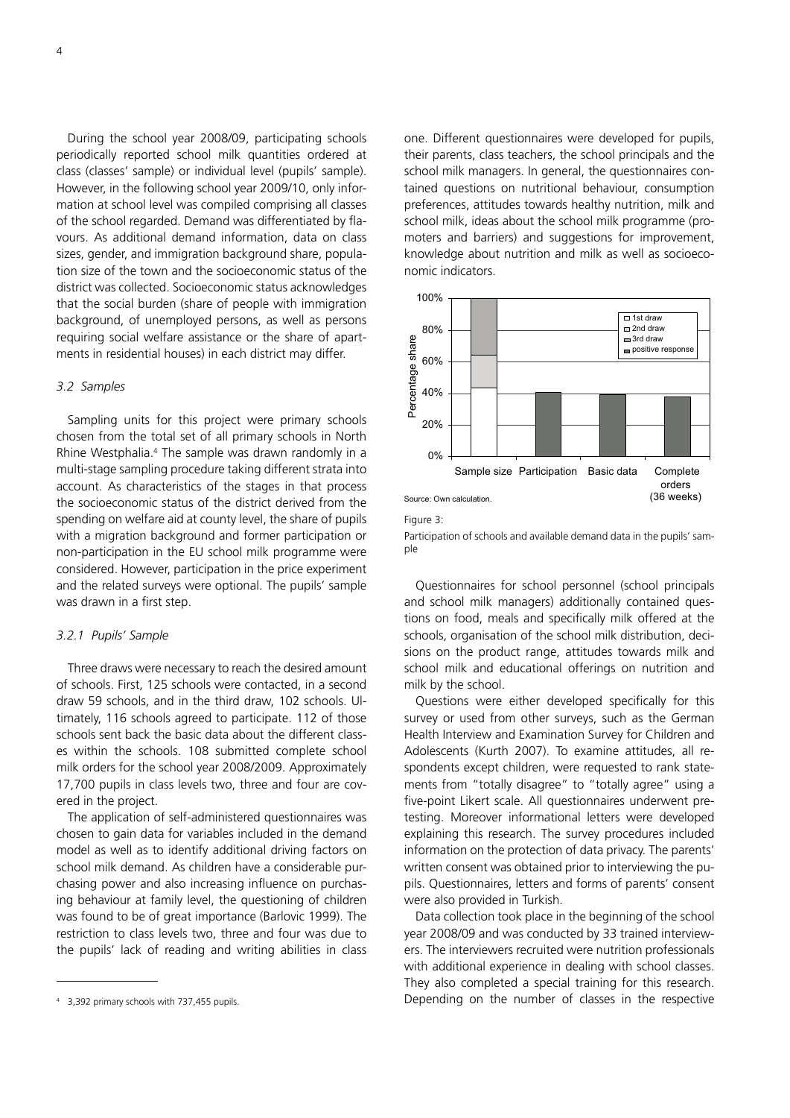4

During the school year 2008/09, participating schools periodically reported school milk quantities ordered at class (classes' sample) or individual level (pupils' sample). However, in the following school year 2009/10, only information at school level was compiled comprising all classes of the school regarded. Demand was differentiated by flavours. As additional demand information, data on class sizes, gender, and immigration background share, population size of the town and the socioeconomic status of the district was collected. Socioeconomic status acknowledges that the social burden (share of people with immigration background, of unemployed persons, as well as persons requiring social welfare assistance or the share of apartments in residential houses) in each district may differ.

### *3.2 Samples*

Sampling units for this project were primary schools chosen from the total set of all primary schools in North Rhine Westphalia.<sup>4</sup> The sample was drawn randomly in a multi-stage sampling procedure taking different strata into account. As characteristics of the stages in that process the socioeconomic status of the district derived from the spending on welfare aid at county level, the share of pupils with a migration background and former participation or non-participation in the EU school milk programme were considered. However, participation in the price experiment and the related surveys were optional. The pupils' sample was drawn in a first step.

### *3.2.1 Pupils' Sample*

Three draws were necessary to reach the desired amount of schools. First, 125 schools were contacted, in a second draw 59 schools, and in the third draw, 102 schools. Ultimately, 116 schools agreed to participate. 112 of those schools sent back the basic data about the different classes within the schools. 108 submitted complete school milk orders for the school year 2008/2009. Approximately 17,700 pupils in class levels two, three and four are covered in the project.

The application of self-administered questionnaires was chosen to gain data for variables included in the demand model as well as to identify additional driving factors on school milk demand. As children have a considerable purchasing power and also increasing influence on purchasing behaviour at family level, the questioning of children was found to be of great importance (Barlovic 1999). The restriction to class levels two, three and four was due to the pupils' lack of reading and writing abilities in class

one. Different questionnaires were developed for pupils, their parents, class teachers, the school principals and the school milk managers. In general, the questionnaires contained questions on nutritional behaviour, consumption preferences, attitudes towards healthy nutrition, milk and school milk, ideas about the school milk programme (promoters and barriers) and suggestions for improvement, knowledge about nutrition and milk as well as socioeconomic indicators.



Figure 3:

Participation of schools and available demand data in the pupils' sample

Questionnaires for school personnel (school principals and school milk managers) additionally contained questions on food, meals and specifically milk offered at the schools, organisation of the school milk distribution, decisions on the product range, attitudes towards milk and school milk and educational offerings on nutrition and milk by the school.

Questions were either developed specifically for this survey or used from other surveys, such as the German Health Interview and Examination Survey for Children and Adolescents (Kurth 2007). To examine attitudes, all respondents except children, were requested to rank statements from "totally disagree" to "totally agree" using a five-point Likert scale. All questionnaires underwent pretesting. Moreover informational letters were developed explaining this research. The survey procedures included information on the protection of data privacy. The parents' written consent was obtained prior to interviewing the pupils. Questionnaires, letters and forms of parents' consent were also provided in Turkish.

Data collection took place in the beginning of the school year 2008/09 and was conducted by 33 trained interviewers. The interviewers recruited were nutrition professionals with additional experience in dealing with school classes. They also completed a special training for this research. Depending on the number of classes in the respective

<sup>4</sup> 3,392 primary schools with 737,455 pupils.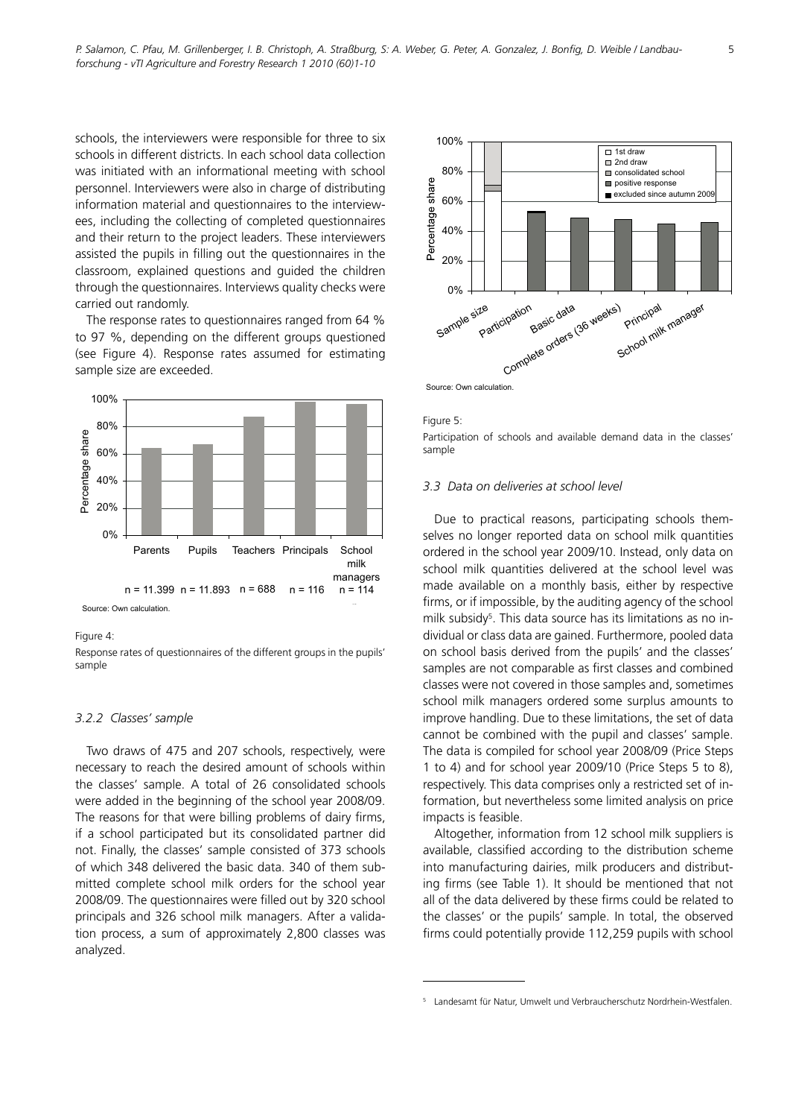schools, the interviewers were responsible for three to six schools in different districts. In each school data collection was initiated with an informational meeting with school personnel. Interviewers were also in charge of distributing information material and questionnaires to the interviewees, including the collecting of completed questionnaires and their return to the project leaders. These interviewers assisted the pupils in filling out the questionnaires in the classroom, explained questions and guided the children through the questionnaires. Interviews quality checks were carried out randomly.

The response rates to questionnaires ranged from 64 % to 97 %, depending on the different groups questioned (see Figure 4). Response rates assumed for estimating sample size are exceeded.



Figure 4:

Response rates of questionnaires of the different groups in the pupils' sample

# *3.2.2 Classes' sample*

Two draws of 475 and 207 schools, respectively, were necessary to reach the desired amount of schools within the classes' sample. A total of 26 consolidated schools were added in the beginning of the school year 2008/09. The reasons for that were billing problems of dairy firms, if a school participated but its consolidated partner did not. Finally, the classes' sample consisted of 373 schools of which 348 delivered the basic data. 340 of them submitted complete school milk orders for the school year 2008/09. The questionnaires were filled out by 320 school principals and 326 school milk managers. After a validation process, a sum of approximately 2,800 classes was analyzed.





Participation of schools and available demand data in the classes' sample

# *3.3 Data on deliveries at school level*

Due to practical reasons, participating schools themselves no longer reported data on school milk quantities ordered in the school year 2009/10. Instead, only data on school milk quantities delivered at the school level was made available on a monthly basis, either by respective firms, or if impossible, by the auditing agency of the school milk subsidy<sup>5</sup>. This data source has its limitations as no individual or class data are gained. Furthermore, pooled data on school basis derived from the pupils' and the classes' samples are not comparable as first classes and combined classes were not covered in those samples and, sometimes school milk managers ordered some surplus amounts to improve handling. Due to these limitations, the set of data cannot be combined with the pupil and classes' sample. The data is compiled for school year 2008/09 (Price Steps 1 to 4) and for school year 2009/10 (Price Steps 5 to 8), respectively. This data comprises only a restricted set of information, but nevertheless some limited analysis on price impacts is feasible.

Altogether, information from 12 school milk suppliers is available, classified according to the distribution scheme into manufacturing dairies, milk producers and distributing firms (see Table 1). It should be mentioned that not all of the data delivered by these firms could be related to the classes' or the pupils' sample. In total, the observed firms could potentially provide 112,259 pupils with school

<sup>5</sup> Landesamt für Natur, Umwelt und Verbraucherschutz Nordrhein-Westfalen.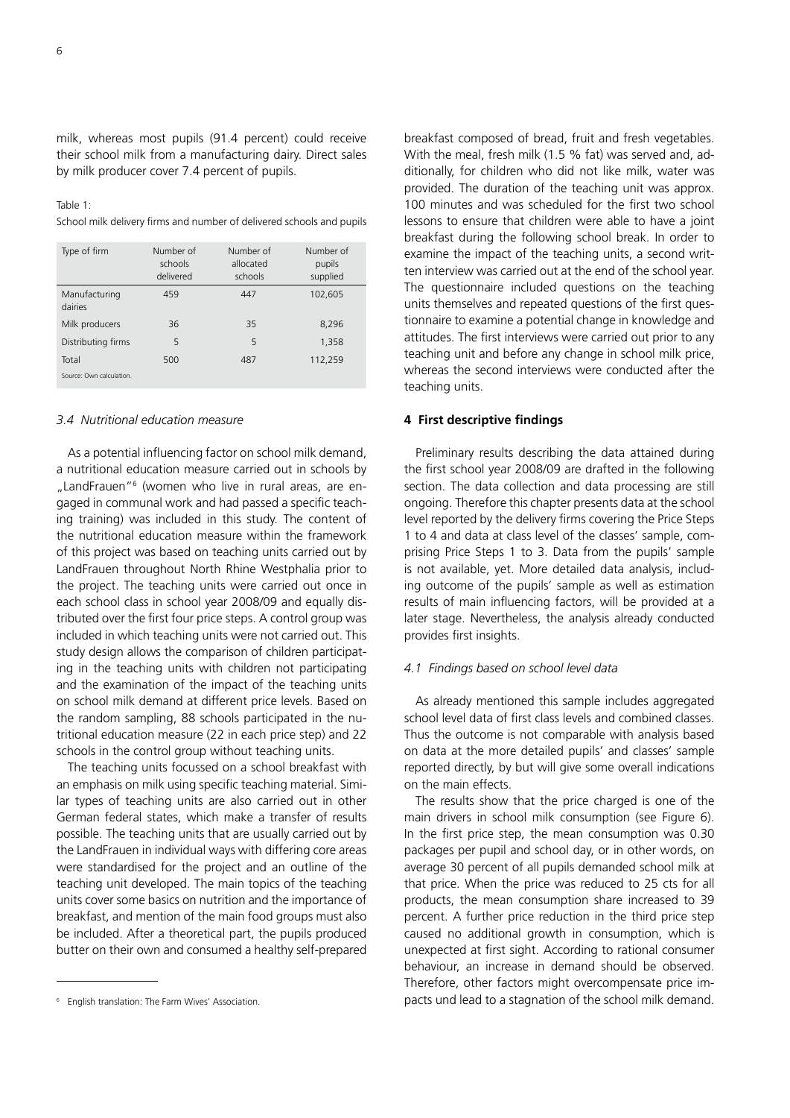milk, whereas most pupils (91.4 percent) could receive their school milk from a manufacturing dairy. Direct sales by milk producer cover 7.4 percent of pupils.

#### Table  $1$ :

School milk delivery firms and number of delivered schools and pupils

| Type of firm             | Number of<br>schools<br>delivered | Number of<br>allocated<br>schools | Number of<br>pupils<br>supplied |
|--------------------------|-----------------------------------|-----------------------------------|---------------------------------|
| Manufacturing<br>dairies | 459                               | 447                               | 102,605                         |
| Milk producers           | 36                                | 35                                | 8,296                           |
| Distributing firms       | 5                                 | 5                                 | 1,358                           |
| Total                    | 500                               | 487                               | 112,259                         |
| Source: Own calculation. |                                   |                                   |                                 |

### *3.4 Nutritional education measure*

As a potential influencing factor on school milk demand, a nutritional education measure carried out in schools by "LandFrauen"<sup>6</sup> (women who live in rural areas, are engaged in communal work and had passed a specific teaching training) was included in this study. The content of the nutritional education measure within the framework of this project was based on teaching units carried out by LandFrauen throughout North Rhine Westphalia prior to the project. The teaching units were carried out once in each school class in school year 2008/09 and equally distributed over the first four price steps. A control group was included in which teaching units were not carried out. This study design allows the comparison of children participating in the teaching units with children not participating and the examination of the impact of the teaching units on school milk demand at different price levels. Based on the random sampling, 88 schools participated in the nutritional education measure (22 in each price step) and 22 schools in the control group without teaching units.

The teaching units focussed on a school breakfast with an emphasis on milk using specific teaching material. Similar types of teaching units are also carried out in other German federal states, which make a transfer of results possible. The teaching units that are usually carried out by the LandFrauen in individual ways with differing core areas were standardised for the project and an outline of the teaching unit developed. The main topics of the teaching units cover some basics on nutrition and the importance of breakfast, and mention of the main food groups must also be included. After a theoretical part, the pupils produced butter on their own and consumed a healthy self-prepared

breakfast composed of bread, fruit and fresh vegetables. With the meal, fresh milk (1.5 % fat) was served and, additionally, for children who did not like milk, water was provided. The duration of the teaching unit was approx. 100 minutes and was scheduled for the first two school lessons to ensure that children were able to have a joint breakfast during the following school break. In order to examine the impact of the teaching units, a second written interview was carried out at the end of the school year. The questionnaire included questions on the teaching units themselves and repeated questions of the first questionnaire to examine a potential change in knowledge and attitudes. The first interviews were carried out prior to any teaching unit and before any change in school milk price, whereas the second interviews were conducted after the teaching units.

### **4 First descriptive findings**

Preliminary results describing the data attained during the first school year 2008/09 are drafted in the following section. The data collection and data processing are still ongoing. Therefore this chapter presents data at the school level reported by the delivery firms covering the Price Steps 1 to 4 and data at class level of the classes' sample, comprising Price Steps 1 to 3. Data from the pupils' sample is not available, yet. More detailed data analysis, including outcome of the pupils' sample as well as estimation results of main influencing factors, will be provided at a later stage. Nevertheless, the analysis already conducted provides first insights.

### *4.1 Findings based on school level data*

As already mentioned this sample includes aggregated school level data of first class levels and combined classes. Thus the outcome is not comparable with analysis based on data at the more detailed pupils' and classes' sample reported directly, by but will give some overall indications on the main effects.

The results show that the price charged is one of the main drivers in school milk consumption (see Figure 6). In the first price step, the mean consumption was 0.30 packages per pupil and school day, or in other words, on average 30 percent of all pupils demanded school milk at that price. When the price was reduced to 25 cts for all products, the mean consumption share increased to 39 percent. A further price reduction in the third price step caused no additional growth in consumption, which is unexpected at first sight. According to rational consumer behaviour, an increase in demand should be observed. Therefore, other factors might overcompensate price impacts und lead to a stagnation of the school milk demand.

<sup>6</sup> English translation: The Farm Wives' Association.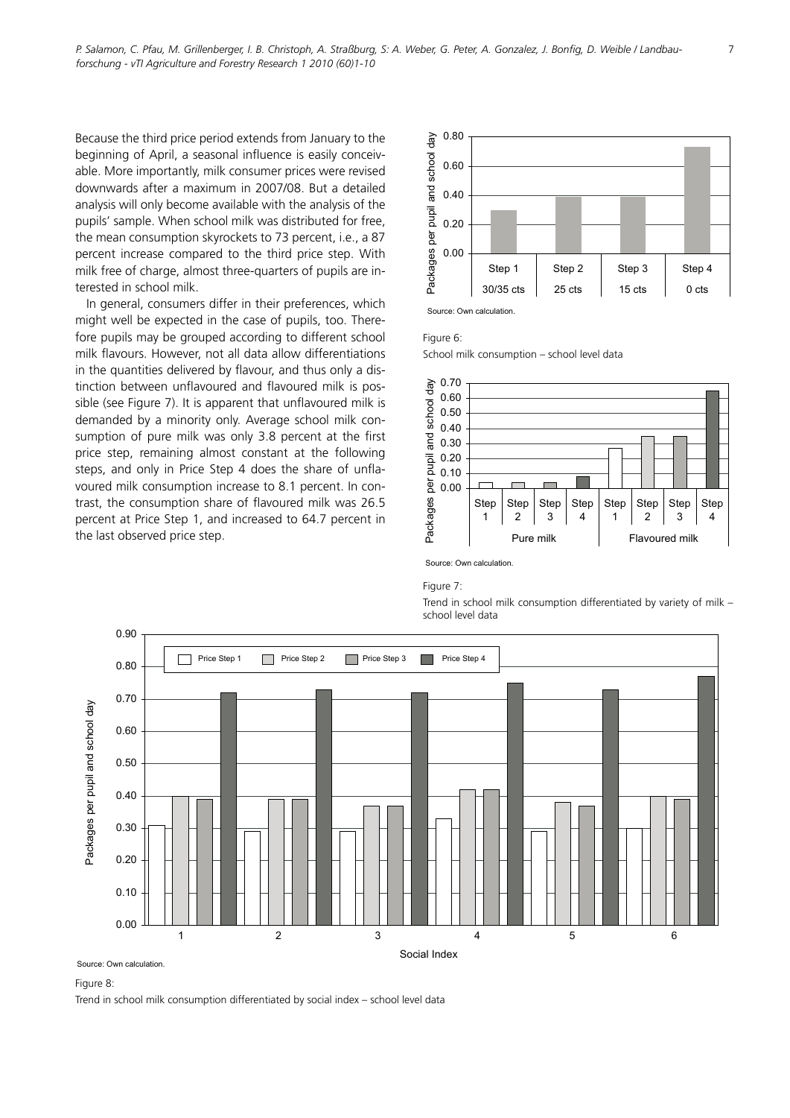Because the third price period extends from January to the beginning of April, a seasonal influence is easily conceivable. More importantly, milk consumer prices were revised downwards after a maximum in 2007/08. But a detailed analysis will only become available with the analysis of the pupils' sample. When school milk was distributed for free, the mean consumption skyrockets to 73 percent, i.e., a 87 percent increase compared to the third price step. With milk free of charge, almost three-quarters of pupils are interested in school milk.

In general, consumers differ in their preferences, which might well be expected in the case of pupils, too. Therefore pupils may be grouped according to different school milk flavours. However, not all data allow differentiations in the quantities delivered by flavour, and thus only a distinction between unflavoured and flavoured milk is possible (see Figure 7). It is apparent that unflavoured milk is demanded by a minority only. Average school milk consumption of pure milk was only 3.8 percent at the first price step, remaining almost constant at the following steps, and only in Price Step 4 does the share of unflavoured milk consumption increase to 8.1 percent. In contrast, the consumption share of flavoured milk was 26.5 percent at Price Step 1, and increased to 64.7 percent in the last observed price step.



Figure 6:

School milk consumption – school level data



Source: Own calculation.

#### Figure 7:

Trend in school milk consumption differentiated by variety of milk – school level data



#### Figure 8:

Trend in school milk consumption differentiated by social index – school level data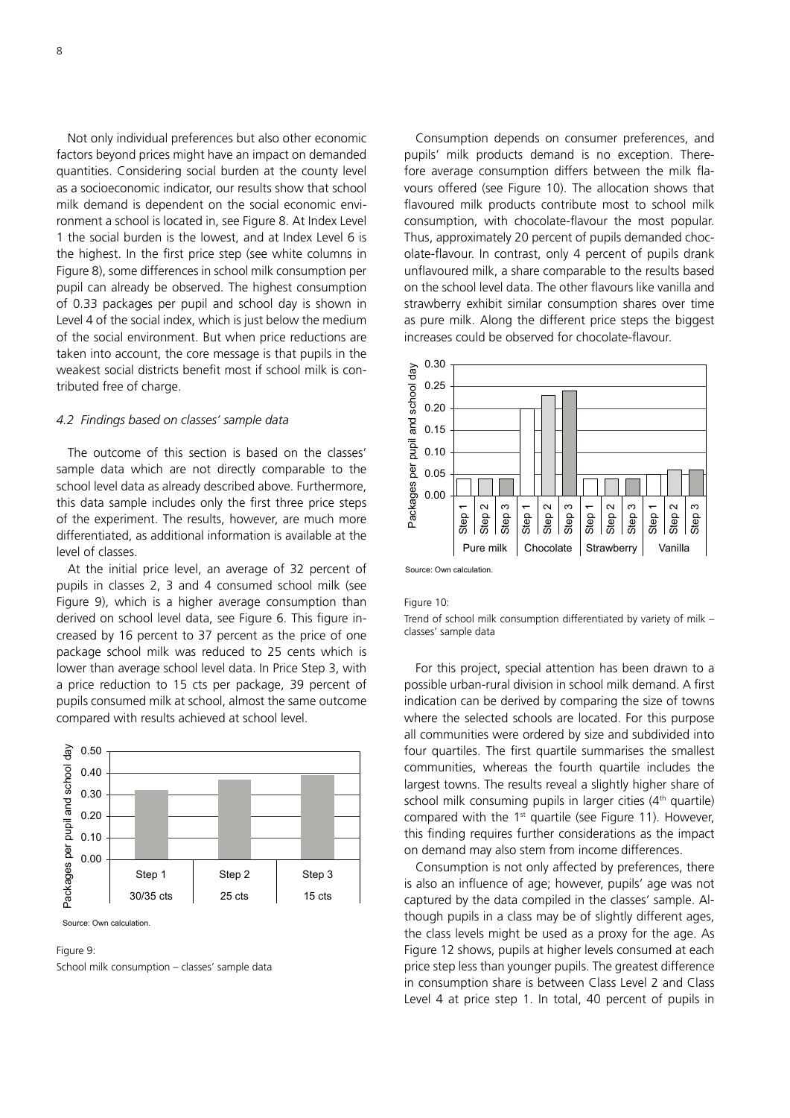Not only individual preferences but also other economic factors beyond prices might have an impact on demanded quantities. Considering social burden at the county level as a socioeconomic indicator, our results show that school milk demand is dependent on the social economic environment a school is located in, see Figure 8. At Index Level 1 the social burden is the lowest, and at Index Level 6 is the highest. In the first price step (see white columns in Figure 8), some differences in school milk consumption per pupil can already be observed. The highest consumption of 0.33 packages per pupil and school day is shown in Level 4 of the social index, which is just below the medium of the social environment. But when price reductions are taken into account, the core message is that pupils in the weakest social districts benefit most if school milk is contributed free of charge.

### *4.2 Findings based on classes' sample data*

The outcome of this section is based on the classes' sample data which are not directly comparable to the school level data as already described above. Furthermore, this data sample includes only the first three price steps of the experiment. The results, however, are much more differentiated, as additional information is available at the level of classes.

At the initial price level, an average of 32 percent of pupils in classes 2, 3 and 4 consumed school milk (see Figure 9), which is a higher average consumption than derived on school level data, see Figure 6. This figure increased by 16 percent to 37 percent as the price of one package school milk was reduced to 25 cents which is lower than average school level data. In Price Step 3, with a price reduction to 15 cts per package, 39 percent of pupils consumed milk at school, almost the same outcome compared with results achieved at school level.



Source: Own calculation.

Figure 9: School milk consumption – classes' sample data

Consumption depends on consumer preferences, and pupils' milk products demand is no exception. Therefore average consumption differs between the milk flavours offered (see Figure 10). The allocation shows that flavoured milk products contribute most to school milk consumption, with chocolate-flavour the most popular. Thus, approximately 20 percent of pupils demanded chocolate-flavour. In contrast, only 4 percent of pupils drank unflavoured milk, a share comparable to the results based on the school level data. The other flavours like vanilla and strawberry exhibit similar consumption shares over time as pure milk. Along the different price steps the biggest increases could be observed for chocolate-flavour.



Source: Own calculation.

### Figure 10:

Trend of school milk consumption differentiated by variety of milk  $$ classes' sample data

For this project, special attention has been drawn to a possible urban-rural division in school milk demand. A first indication can be derived by comparing the size of towns where the selected schools are located. For this purpose all communities were ordered by size and subdivided into four quartiles. The first quartile summarises the smallest communities, whereas the fourth quartile includes the largest towns. The results reveal a slightly higher share of school milk consuming pupils in larger cities  $(4<sup>th</sup>$  quartile) compared with the  $1<sup>st</sup>$  quartile (see Figure 11). However, this finding requires further considerations as the impact on demand may also stem from income differences.

Consumption is not only affected by preferences, there is also an influence of age; however, pupils' age was not captured by the data compiled in the classes' sample. Although pupils in a class may be of slightly different ages, the class levels might be used as a proxy for the age. As Figure 12 shows, pupils at higher levels consumed at each price step less than younger pupils. The greatest difference in consumption share is between Class Level 2 and Class Level 4 at price step 1. In total, 40 percent of pupils in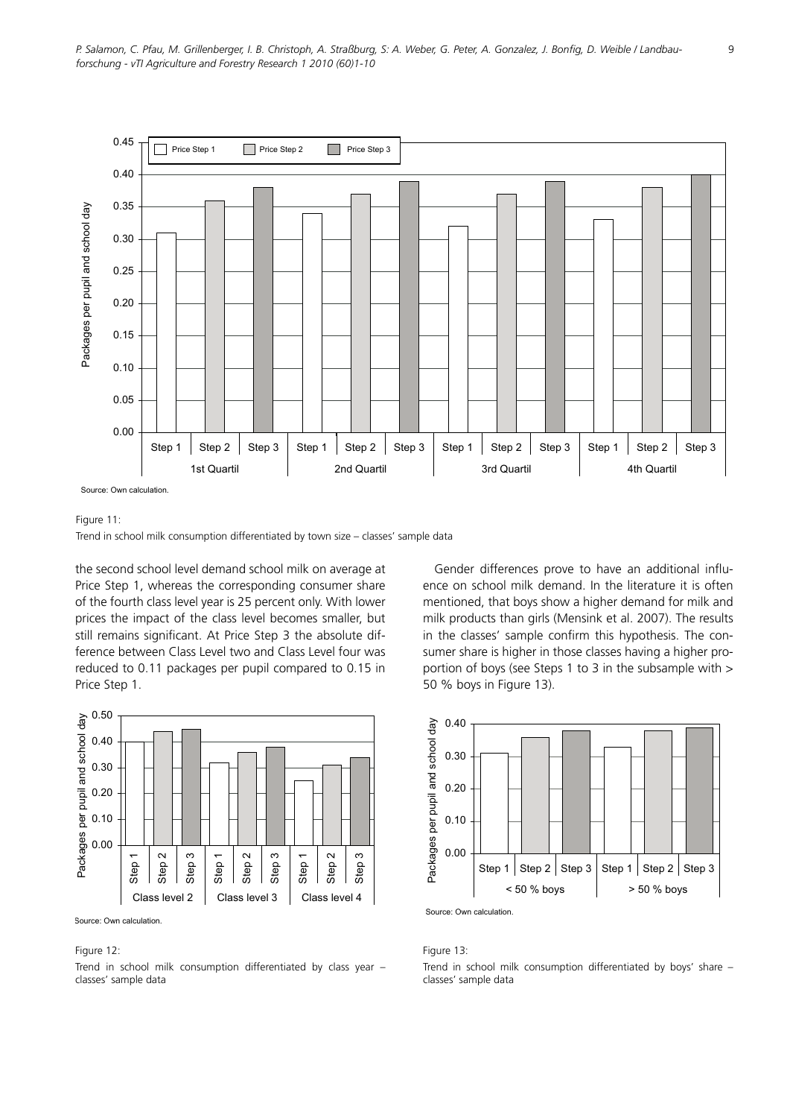

#### Figure 11:

Trend in school milk consumption differentiated by town size - classes' sample data

the second school level demand school milk on average at Price Step 1, whereas the corresponding consumer share of the fourth class level year is 25 percent only. With lower prices the impact of the class level becomes smaller, but still remains significant. At Price Step 3 the absolute difference between Class Level two and Class Level four was reduced to 0.11 packages per pupil compared to 0.15 in Price Step 1.



Source: Own calculation.

### Figure 12:

Trend in school milk consumption differentiated by class year – classes' sample data

Gender differences prove to have an additional influence on school milk demand. In the literature it is often mentioned, that boys show a higher demand for milk and milk products than girls (Mensink et al. 2007). The results in the classes' sample confirm this hypothesis. The consumer share is higher in those classes having a higher proportion of boys (see Steps 1 to 3 in the subsample with > 50 % boys in Figure 13).



Figure 13: Trend in school milk consumption differentiated by boys' share – classes' sample data